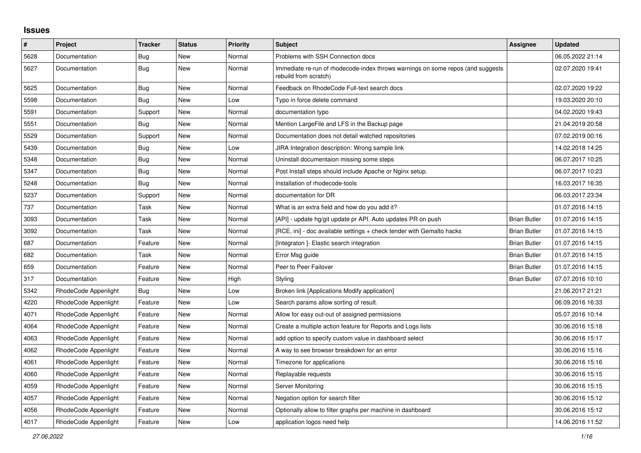## **Issues**

| $\sharp$ | Project              | <b>Tracker</b> | <b>Status</b> | <b>Priority</b> | <b>Subject</b>                                                                                           | Assignee            | <b>Updated</b>   |
|----------|----------------------|----------------|---------------|-----------------|----------------------------------------------------------------------------------------------------------|---------------------|------------------|
| 5628     | Documentation        | Bug            | <b>New</b>    | Normal          | Problems with SSH Connection docs                                                                        |                     | 06.05.2022 21:14 |
| 5627     | Documentation        | Bug            | <b>New</b>    | Normal          | Immediate re-run of rhodecode-index throws warnings on some repos (and suggests<br>rebuild from scratch) |                     | 02.07.2020 19:41 |
| 5625     | Documentation        | <b>Bug</b>     | New           | Normal          | Feedback on RhodeCode Full-text search docs                                                              |                     | 02.07.2020 19:22 |
| 5598     | Documentation        | Bug            | New           | Low             | Typo in force delete command                                                                             |                     | 19.03.2020 20:10 |
| 5591     | Documentation        | Support        | New           | Normal          | documentation typo                                                                                       |                     | 04.02.2020 19:43 |
| 5551     | Documentation        | Bug            | <b>New</b>    | Normal          | Mention LargeFile and LFS in the Backup page                                                             |                     | 21.04.2019 20:58 |
| 5529     | Documentation        | Support        | <b>New</b>    | Normal          | Documentation does not detail watched repositories                                                       |                     | 07.02.2019 00:16 |
| 5439     | Documentation        | <b>Bug</b>     | New           | Low             | JIRA Integration description: Wrong sample link                                                          |                     | 14.02.2018 14:25 |
| 5348     | Documentation        | Bug            | <b>New</b>    | Normal          | Uninstall documentaion missing some steps                                                                |                     | 06.07.2017 10:25 |
| 5347     | Documentation        | <b>Bug</b>     | New           | Normal          | Post Install steps should include Apache or Nginx setup.                                                 |                     | 06.07.2017 10:23 |
| 5248     | Documentation        | Bug            | New           | Normal          | Installation of rhodecode-tools                                                                          |                     | 16.03.2017 16:35 |
| 5237     | Documentation        | Support        | New           | Normal          | documentation for DR                                                                                     |                     | 06.03.2017 23:34 |
| 737      | Documentation        | Task           | New           | Normal          | What is an extra field and how do you add it?                                                            |                     | 01.07.2016 14:15 |
| 3093     | Documentation        | Task           | New           | Normal          | [API] - update hg/git update pr API. Auto updates PR on push                                             | <b>Brian Butler</b> | 01.07.2016 14:15 |
| 3092     | Documentation        | Task           | New           | Normal          | [RCE, ini] - doc available settings + check tender with Gemalto hacks                                    | <b>Brian Butler</b> | 01.07.2016 14:15 |
| 687      | Documentation        | Feature        | New           | Normal          | [Integraton] - Elastic search integration                                                                | <b>Brian Butler</b> | 01.07.2016 14:15 |
| 682      | Documentation        | Task           | New           | Normal          | Error Msg guide                                                                                          | <b>Brian Butler</b> | 01.07.2016 14:15 |
| 659      | Documentation        | Feature        | New           | Normal          | Peer to Peer Failover                                                                                    | <b>Brian Butler</b> | 01.07.2016 14:15 |
| 317      | Documentation        | Feature        | New           | High            | Styling                                                                                                  | <b>Brian Butler</b> | 07.07.2016 10:10 |
| 5342     | RhodeCode Appenlight | Bug            | New           | Low             | Broken link [Applications Modify application]                                                            |                     | 21.06.2017 21:21 |
| 4220     | RhodeCode Appenlight | Feature        | New           | Low             | Search params allow sorting of result.                                                                   |                     | 06.09.2016 16:33 |
| 4071     | RhodeCode Appenlight | Feature        | New           | Normal          | Allow for easy out-out of assigned permissions                                                           |                     | 05.07.2016 10:14 |
| 4064     | RhodeCode Appenlight | Feature        | New           | Normal          | Create a multiple action feature for Reports and Logs lists                                              |                     | 30.06.2016 15:18 |
| 4063     | RhodeCode Appenlight | Feature        | New           | Normal          | add option to specify custom value in dashboard select                                                   |                     | 30.06.2016 15:17 |
| 4062     | RhodeCode Appenlight | Feature        | New           | Normal          | A way to see browser breakdown for an error                                                              |                     | 30.06.2016 15:16 |
| 4061     | RhodeCode Appenlight | Feature        | New           | Normal          | Timezone for applications                                                                                |                     | 30.06.2016 15:16 |
| 4060     | RhodeCode Appenlight | Feature        | New           | Normal          | Replayable requests                                                                                      |                     | 30.06.2016 15:15 |
| 4059     | RhodeCode Appenlight | Feature        | <b>New</b>    | Normal          | Server Monitoring                                                                                        |                     | 30.06.2016 15:15 |
| 4057     | RhodeCode Appenlight | Feature        | New           | Normal          | Negation option for search filter                                                                        |                     | 30.06.2016 15:12 |
| 4056     | RhodeCode Appenlight | Feature        | New           | Normal          | Optionally allow to filter graphs per machine in dashboard                                               |                     | 30.06.2016 15:12 |
| 4017     | RhodeCode Appenlight | Feature        | New           | Low             | application logos need help                                                                              |                     | 14.06.2016 11:52 |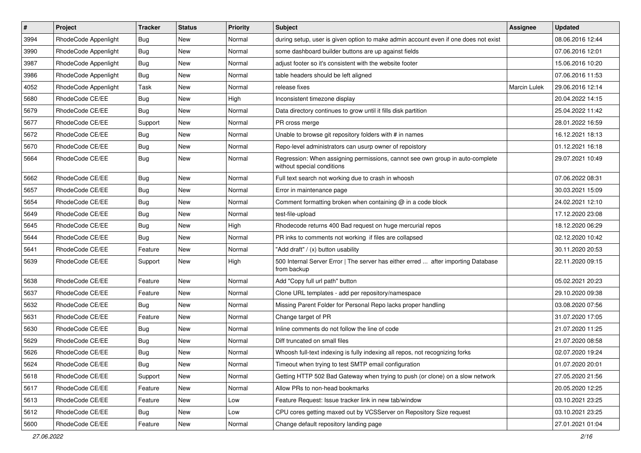| $\#$ | Project              | <b>Tracker</b> | <b>Status</b> | <b>Priority</b> | Subject                                                                                                     | <b>Assignee</b>     | <b>Updated</b>   |
|------|----------------------|----------------|---------------|-----------------|-------------------------------------------------------------------------------------------------------------|---------------------|------------------|
| 3994 | RhodeCode Appenlight | <b>Bug</b>     | New           | Normal          | during setup, user is given option to make admin account even if one does not exist                         |                     | 08.06.2016 12:44 |
| 3990 | RhodeCode Appenlight | Bug            | New           | Normal          | some dashboard builder buttons are up against fields                                                        |                     | 07.06.2016 12:01 |
| 3987 | RhodeCode Appenlight | Bug            | New           | Normal          | adjust footer so it's consistent with the website footer                                                    |                     | 15.06.2016 10:20 |
| 3986 | RhodeCode Appenlight | <b>Bug</b>     | New           | Normal          | table headers should be left aligned                                                                        |                     | 07.06.2016 11:53 |
| 4052 | RhodeCode Appenlight | Task           | New           | Normal          | release fixes                                                                                               | <b>Marcin Lulek</b> | 29.06.2016 12:14 |
| 5680 | RhodeCode CE/EE      | Bug            | New           | High            | Inconsistent timezone display                                                                               |                     | 20.04.2022 14:15 |
| 5679 | RhodeCode CE/EE      | <b>Bug</b>     | New           | Normal          | Data directory continues to grow until it fills disk partition                                              |                     | 25.04.2022 11:42 |
| 5677 | RhodeCode CE/EE      | Support        | New           | Normal          | PR cross merge                                                                                              |                     | 28.01.2022 16:59 |
| 5672 | RhodeCode CE/EE      | <b>Bug</b>     | New           | Normal          | Unable to browse git repository folders with # in names                                                     |                     | 16.12.2021 18:13 |
| 5670 | RhodeCode CE/EE      | <b>Bug</b>     | New           | Normal          | Repo-level administrators can usurp owner of repoistory                                                     |                     | 01.12.2021 16:18 |
| 5664 | RhodeCode CE/EE      | Bug            | New           | Normal          | Regression: When assigning permissions, cannot see own group in auto-complete<br>without special conditions |                     | 29.07.2021 10:49 |
| 5662 | RhodeCode CE/EE      | <b>Bug</b>     | New           | Normal          | Full text search not working due to crash in whoosh                                                         |                     | 07.06.2022 08:31 |
| 5657 | RhodeCode CE/EE      | <b>Bug</b>     | New           | Normal          | Error in maintenance page                                                                                   |                     | 30.03.2021 15:09 |
| 5654 | RhodeCode CE/EE      | <b>Bug</b>     | New           | Normal          | Comment formatting broken when containing $@$ in a code block                                               |                     | 24.02.2021 12:10 |
| 5649 | RhodeCode CE/EE      | <b>Bug</b>     | New           | Normal          | test-file-upload                                                                                            |                     | 17.12.2020 23:08 |
| 5645 | RhodeCode CE/EE      | <b>Bug</b>     | New           | High            | Rhodecode returns 400 Bad request on huge mercurial repos                                                   |                     | 18.12.2020 06:29 |
| 5644 | RhodeCode CE/EE      | <b>Bug</b>     | New           | Normal          | PR inks to comments not working if files are collapsed                                                      |                     | 02.12.2020 10:42 |
| 5641 | RhodeCode CE/EE      | Feature        | New           | Normal          | "Add draft" / (x) button usability                                                                          |                     | 30.11.2020 20:53 |
| 5639 | RhodeCode CE/EE      | Support        | New           | High            | 500 Internal Server Error   The server has either erred  after importing Database<br>from backup            |                     | 22.11.2020 09:15 |
| 5638 | RhodeCode CE/EE      | Feature        | New           | Normal          | Add "Copy full url path" button                                                                             |                     | 05.02.2021 20:23 |
| 5637 | RhodeCode CE/EE      | Feature        | New           | Normal          | Clone URL templates - add per repository/namespace                                                          |                     | 29.10.2020 09:38 |
| 5632 | RhodeCode CE/EE      | <b>Bug</b>     | New           | Normal          | Missing Parent Folder for Personal Repo lacks proper handling                                               |                     | 03.08.2020 07:56 |
| 5631 | RhodeCode CE/EE      | Feature        | New           | Normal          | Change target of PR                                                                                         |                     | 31.07.2020 17:05 |
| 5630 | RhodeCode CE/EE      | <b>Bug</b>     | New           | Normal          | Inline comments do not follow the line of code                                                              |                     | 21.07.2020 11:25 |
| 5629 | RhodeCode CE/EE      | <b>Bug</b>     | New           | Normal          | Diff truncated on small files                                                                               |                     | 21.07.2020 08:58 |
| 5626 | RhodeCode CE/EE      | <b>Bug</b>     | New           | Normal          | Whoosh full-text indexing is fully indexing all repos, not recognizing forks                                |                     | 02.07.2020 19:24 |
| 5624 | RhodeCode CE/EE      | <b>Bug</b>     | New           | Normal          | Timeout when trying to test SMTP email configuration                                                        |                     | 01.07.2020 20:01 |
| 5618 | RhodeCode CE/EE      | Support        | New           | Normal          | Getting HTTP 502 Bad Gateway when trying to push (or clone) on a slow network                               |                     | 27.05.2020 21:56 |
| 5617 | RhodeCode CE/EE      | Feature        | New           | Normal          | Allow PRs to non-head bookmarks                                                                             |                     | 20.05.2020 12:25 |
| 5613 | RhodeCode CE/EE      | Feature        | New           | Low             | Feature Request: Issue tracker link in new tab/window                                                       |                     | 03.10.2021 23:25 |
| 5612 | RhodeCode CE/EE      | <b>Bug</b>     | New           | Low             | CPU cores getting maxed out by VCSServer on Repository Size request                                         |                     | 03.10.2021 23:25 |
| 5600 | RhodeCode CE/EE      | Feature        | New           | Normal          | Change default repository landing page                                                                      |                     | 27.01.2021 01:04 |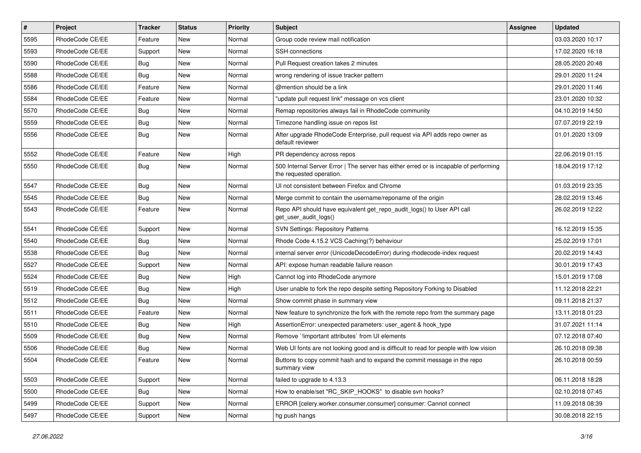| $\sharp$ | Project         | Tracker    | <b>Status</b> | <b>Priority</b> | <b>Subject</b>                                                                                                    | Assignee | <b>Updated</b>   |
|----------|-----------------|------------|---------------|-----------------|-------------------------------------------------------------------------------------------------------------------|----------|------------------|
| 5595     | RhodeCode CE/EE | Feature    | New           | Normal          | Group code review mail notification                                                                               |          | 03.03.2020 10:17 |
| 5593     | RhodeCode CE/EE | Support    | <b>New</b>    | Normal          | <b>SSH</b> connections                                                                                            |          | 17.02.2020 16:18 |
| 5590     | RhodeCode CE/EE | Bug        | New           | Normal          | Pull Request creation takes 2 minutes                                                                             |          | 28.05.2020 20:48 |
| 5588     | RhodeCode CE/EE | Bug        | New           | Normal          | wrong rendering of issue tracker pattern                                                                          |          | 29.01.2020 11:24 |
| 5586     | RhodeCode CE/EE | Feature    | New           | Normal          | @mention should be a link                                                                                         |          | 29.01.2020 11:46 |
| 5584     | RhodeCode CE/EE | Feature    | New           | Normal          | "update pull request link" message on vcs client                                                                  |          | 23.01.2020 10:32 |
| 5570     | RhodeCode CE/EE | <b>Bug</b> | New           | Normal          | Remap repositories always fail in RhodeCode community                                                             |          | 04.10.2019 14:50 |
| 5559     | RhodeCode CE/EE | <b>Bug</b> | New           | Normal          | Timezone handling issue on repos list                                                                             |          | 07.07.2019 22:19 |
| 5556     | RhodeCode CE/EE | Bug        | New           | Normal          | After upgrade RhodeCode Enterprise, pull request via API adds repo owner as<br>default reviewer                   |          | 01.01.2020 13:09 |
| 5552     | RhodeCode CE/EE | Feature    | New           | High            | PR dependency across repos                                                                                        |          | 22.06.2019 01:15 |
| 5550     | RhodeCode CE/EE | Bug        | New           | Normal          | 500 Internal Server Error   The server has either erred or is incapable of performing<br>the requested operation. |          | 18.04.2019 17:12 |
| 5547     | RhodeCode CE/EE | <b>Bug</b> | New           | Normal          | UI not consistent between Firefox and Chrome                                                                      |          | 01.03.2019 23:35 |
| 5545     | RhodeCode CE/EE | <b>Bug</b> | New           | Normal          | Merge commit to contain the username/reponame of the origin                                                       |          | 28.02.2019 13:46 |
| 5543     | RhodeCode CE/EE | Feature    | New           | Normal          | Repo API should have equivalent get_repo_audit_logs() to User API call<br>get_user_audit_logs()                   |          | 26.02.2019 12:22 |
| 5541     | RhodeCode CE/EE | Support    | New           | Normal          | <b>SVN Settings: Repository Patterns</b>                                                                          |          | 16.12.2019 15:35 |
| 5540     | RhodeCode CE/EE | Bug        | New           | Normal          | Rhode Code 4.15.2 VCS Caching(?) behaviour                                                                        |          | 25.02.2019 17:01 |
| 5538     | RhodeCode CE/EE | Bug        | New           | Normal          | internal server error (UnicodeDecodeError) during rhodecode-index request                                         |          | 20.02.2019 14:43 |
| 5527     | RhodeCode CE/EE | Support    | New           | Normal          | API: expose human readable failure reason                                                                         |          | 30.01.2019 17:43 |
| 5524     | RhodeCode CE/EE | <b>Bug</b> | New           | High            | Cannot log into RhodeCode anymore                                                                                 |          | 15.01.2019 17:08 |
| 5519     | RhodeCode CE/EE | <b>Bug</b> | New           | High            | User unable to fork the repo despite setting Repository Forking to Disabled                                       |          | 11.12.2018 22:21 |
| 5512     | RhodeCode CE/EE | Bug        | New           | Normal          | Show commit phase in summary view                                                                                 |          | 09.11.2018 21:37 |
| 5511     | RhodeCode CE/EE | Feature    | New           | Normal          | New feature to synchronize the fork with the remote repo from the summary page                                    |          | 13.11.2018 01:23 |
| 5510     | RhodeCode CE/EE | <b>Bug</b> | New           | High            | AssertionError: unexpected parameters: user_agent & hook_type                                                     |          | 31.07.2021 11:14 |
| 5509     | RhodeCode CE/EE | <b>Bug</b> | New           | Normal          | Remove `!important attributes` from UI elements                                                                   |          | 07.12.2018 07:40 |
| 5506     | RhodeCode CE/EE | <b>Bug</b> | New           | Normal          | Web UI fonts are not looking good and is difficult to read for people with low vision                             |          | 26.10.2018 09:38 |
| 5504     | RhodeCode CE/EE | Feature    | New           | Normal          | Buttons to copy commit hash and to expand the commit message in the repo<br>summary view                          |          | 26.10.2018 00:59 |
| 5503     | RhodeCode CE/EE | Support    | New           | Normal          | failed to upgrade to 4.13.3                                                                                       |          | 06.11.2018 18:28 |
| 5500     | RhodeCode CE/EE | Bug        | New           | Normal          | How to enable/set "RC_SKIP_HOOKS" to disable svn hooks?                                                           |          | 02.10.2018 07:45 |
| 5499     | RhodeCode CE/EE | Support    | New           | Normal          | ERROR [celery.worker.consumer.consumer] consumer: Cannot connect                                                  |          | 11.09.2018 08:39 |
| 5497     | RhodeCode CE/EE | Support    | New           | Normal          | hg push hangs                                                                                                     |          | 30.08.2018 22:15 |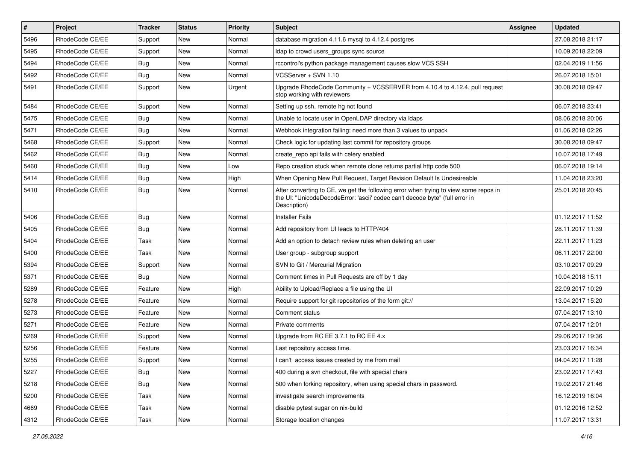| $\pmb{\#}$ | Project         | <b>Tracker</b> | <b>Status</b> | <b>Priority</b> | Subject                                                                                                                                                                              | Assignee | <b>Updated</b>   |
|------------|-----------------|----------------|---------------|-----------------|--------------------------------------------------------------------------------------------------------------------------------------------------------------------------------------|----------|------------------|
| 5496       | RhodeCode CE/EE | Support        | New           | Normal          | database migration 4.11.6 mysql to 4.12.4 postgres                                                                                                                                   |          | 27.08.2018 21:17 |
| 5495       | RhodeCode CE/EE | Support        | <b>New</b>    | Normal          | Idap to crowd users_groups sync source                                                                                                                                               |          | 10.09.2018 22:09 |
| 5494       | RhodeCode CE/EE | Bug            | New           | Normal          | rccontrol's python package management causes slow VCS SSH                                                                                                                            |          | 02.04.2019 11:56 |
| 5492       | RhodeCode CE/EE | Bug            | New           | Normal          | VCSServer + SVN 1.10                                                                                                                                                                 |          | 26.07.2018 15:01 |
| 5491       | RhodeCode CE/EE | Support        | <b>New</b>    | Urgent          | Upgrade RhodeCode Community + VCSSERVER from 4.10.4 to 4.12.4, pull request<br>stop working with reviewers                                                                           |          | 30.08.2018 09:47 |
| 5484       | RhodeCode CE/EE | Support        | <b>New</b>    | Normal          | Setting up ssh, remote hg not found                                                                                                                                                  |          | 06.07.2018 23:41 |
| 5475       | RhodeCode CE/EE | Bug            | New           | Normal          | Unable to locate user in OpenLDAP directory via Idaps                                                                                                                                |          | 08.06.2018 20:06 |
| 5471       | RhodeCode CE/EE | Bug            | New           | Normal          | Webhook integration failing: need more than 3 values to unpack                                                                                                                       |          | 01.06.2018 02:26 |
| 5468       | RhodeCode CE/EE | Support        | <b>New</b>    | Normal          | Check logic for updating last commit for repository groups                                                                                                                           |          | 30.08.2018 09:47 |
| 5462       | RhodeCode CE/EE | <b>Bug</b>     | <b>New</b>    | Normal          | create repo api fails with celery enabled                                                                                                                                            |          | 10.07.2018 17:49 |
| 5460       | RhodeCode CE/EE | Bug            | New           | Low             | Repo creation stuck when remote clone returns partial http code 500                                                                                                                  |          | 06.07.2018 19:14 |
| 5414       | RhodeCode CE/EE | <b>Bug</b>     | New           | High            | When Opening New Pull Request, Target Revision Default Is Undesireable                                                                                                               |          | 11.04.2018 23:20 |
| 5410       | RhodeCode CE/EE | Bug            | New           | Normal          | After converting to CE, we get the following error when trying to view some repos in<br>the UI: "UnicodeDecodeError: 'ascii' codec can't decode byte" (full error in<br>Description) |          | 25.01.2018 20:45 |
| 5406       | RhodeCode CE/EE | Bug            | New           | Normal          | <b>Installer Fails</b>                                                                                                                                                               |          | 01.12.2017 11:52 |
| 5405       | RhodeCode CE/EE | Bug            | <b>New</b>    | Normal          | Add repository from UI leads to HTTP/404                                                                                                                                             |          | 28.11.2017 11:39 |
| 5404       | RhodeCode CE/EE | Task           | <b>New</b>    | Normal          | Add an option to detach review rules when deleting an user                                                                                                                           |          | 22.11.2017 11:23 |
| 5400       | RhodeCode CE/EE | Task           | <b>New</b>    | Normal          | User group - subgroup support                                                                                                                                                        |          | 06.11.2017 22:00 |
| 5394       | RhodeCode CE/EE | Support        | New           | Normal          | SVN to Git / Mercurial Migration                                                                                                                                                     |          | 03.10.2017 09:29 |
| 5371       | RhodeCode CE/EE | Bug            | New           | Normal          | Comment times in Pull Requests are off by 1 day                                                                                                                                      |          | 10.04.2018 15:11 |
| 5289       | RhodeCode CE/EE | Feature        | <b>New</b>    | High            | Ability to Upload/Replace a file using the UI                                                                                                                                        |          | 22.09.2017 10:29 |
| 5278       | RhodeCode CE/EE | Feature        | New           | Normal          | Require support for git repositories of the form git://                                                                                                                              |          | 13.04.2017 15:20 |
| 5273       | RhodeCode CE/EE | Feature        | New           | Normal          | Comment status                                                                                                                                                                       |          | 07.04.2017 13:10 |
| 5271       | RhodeCode CE/EE | Feature        | <b>New</b>    | Normal          | Private comments                                                                                                                                                                     |          | 07.04.2017 12:01 |
| 5269       | RhodeCode CE/EE | Support        | New           | Normal          | Upgrade from RC EE 3.7.1 to RC EE 4.x                                                                                                                                                |          | 29.06.2017 19:36 |
| 5256       | RhodeCode CE/EE | Feature        | New           | Normal          | Last repository access time.                                                                                                                                                         |          | 23.03.2017 16:34 |
| 5255       | RhodeCode CE/EE | Support        | New           | Normal          | I can't access issues created by me from mail                                                                                                                                        |          | 04.04.2017 11:28 |
| 5227       | RhodeCode CE/EE | Bug            | New           | Normal          | 400 during a svn checkout, file with special chars                                                                                                                                   |          | 23.02.2017 17:43 |
| 5218       | RhodeCode CE/EE | Bug            | New           | Normal          | 500 when forking repository, when using special chars in password.                                                                                                                   |          | 19.02.2017 21:46 |
| 5200       | RhodeCode CE/EE | Task           | New           | Normal          | investigate search improvements                                                                                                                                                      |          | 16.12.2019 16:04 |
| 4669       | RhodeCode CE/EE | Task           | New           | Normal          | disable pytest sugar on nix-build                                                                                                                                                    |          | 01.12.2016 12:52 |
| 4312       | RhodeCode CE/EE | Task           | New           | Normal          | Storage location changes                                                                                                                                                             |          | 11.07.2017 13:31 |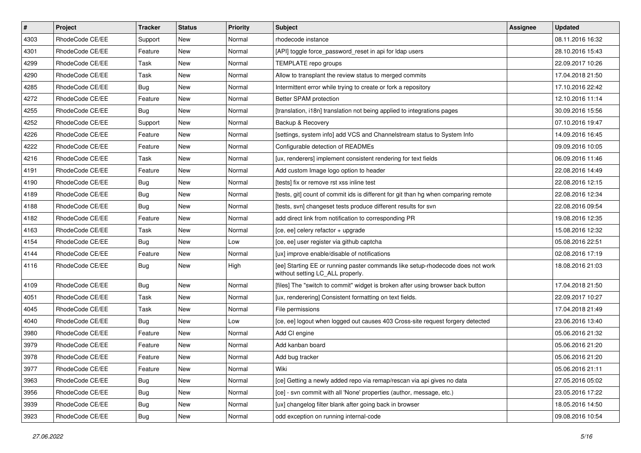| $\sharp$ | Project         | <b>Tracker</b> | <b>Status</b> | <b>Priority</b> | <b>Subject</b>                                                                                                     | <b>Assignee</b> | <b>Updated</b>   |
|----------|-----------------|----------------|---------------|-----------------|--------------------------------------------------------------------------------------------------------------------|-----------------|------------------|
| 4303     | RhodeCode CE/EE | Support        | New           | Normal          | rhodecode instance                                                                                                 |                 | 08.11.2016 16:32 |
| 4301     | RhodeCode CE/EE | Feature        | <b>New</b>    | Normal          | [API] toggle force_password_reset in api for Idap users                                                            |                 | 28.10.2016 15:43 |
| 4299     | RhodeCode CE/EE | Task           | New           | Normal          | TEMPLATE repo groups                                                                                               |                 | 22.09.2017 10:26 |
| 4290     | RhodeCode CE/EE | Task           | New           | Normal          | Allow to transplant the review status to merged commits                                                            |                 | 17.04.2018 21:50 |
| 4285     | RhodeCode CE/EE | Bug            | <b>New</b>    | Normal          | Intermittent error while trying to create or fork a repository                                                     |                 | 17.10.2016 22:42 |
| 4272     | RhodeCode CE/EE | Feature        | New           | Normal          | Better SPAM protection                                                                                             |                 | 12.10.2016 11:14 |
| 4255     | RhodeCode CE/EE | Bug            | New           | Normal          | [translation, i18n] translation not being applied to integrations pages                                            |                 | 30.09.2016 15:56 |
| 4252     | RhodeCode CE/EE | Support        | New           | Normal          | Backup & Recovery                                                                                                  |                 | 07.10.2016 19:47 |
| 4226     | RhodeCode CE/EE | Feature        | <b>New</b>    | Normal          | [settings, system info] add VCS and Channelstream status to System Info                                            |                 | 14.09.2016 16:45 |
| 4222     | RhodeCode CE/EE | Feature        | <b>New</b>    | Normal          | Configurable detection of READMEs                                                                                  |                 | 09.09.2016 10:05 |
| 4216     | RhodeCode CE/EE | Task           | New           | Normal          | [ux, renderers] implement consistent rendering for text fields                                                     |                 | 06.09.2016 11:46 |
| 4191     | RhodeCode CE/EE | Feature        | New           | Normal          | Add custom Image logo option to header                                                                             |                 | 22.08.2016 14:49 |
| 4190     | RhodeCode CE/EE | Bug            | <b>New</b>    | Normal          | [tests] fix or remove rst xss inline test                                                                          |                 | 22.08.2016 12:15 |
| 4189     | RhodeCode CE/EE | Bug            | New           | Normal          | [tests, git] count of commit ids is different for git than hg when comparing remote                                |                 | 22.08.2016 12:34 |
| 4188     | RhodeCode CE/EE | Bug            | <b>New</b>    | Normal          | [tests, svn] changeset tests produce different results for svn                                                     |                 | 22.08.2016 09:54 |
| 4182     | RhodeCode CE/EE | Feature        | New           | Normal          | add direct link from notification to corresponding PR                                                              |                 | 19.08.2016 12:35 |
| 4163     | RhodeCode CE/EE | Task           | New           | Normal          | [ce, ee] celery refactor + upgrade                                                                                 |                 | 15.08.2016 12:32 |
| 4154     | RhodeCode CE/EE | Bug            | <b>New</b>    | Low             | [ce, ee] user register via github captcha                                                                          |                 | 05.08.2016 22:51 |
| 4144     | RhodeCode CE/EE | Feature        | New           | Normal          | [ux] improve enable/disable of notifications                                                                       |                 | 02.08.2016 17:19 |
| 4116     | RhodeCode CE/EE | Bug            | New           | High            | [ee] Starting EE or running paster commands like setup-rhodecode does not work<br>without setting LC_ALL properly. |                 | 18.08.2016 21:03 |
| 4109     | RhodeCode CE/EE | Bug            | <b>New</b>    | Normal          | [files] The "switch to commit" widget is broken after using browser back button                                    |                 | 17.04.2018 21:50 |
| 4051     | RhodeCode CE/EE | Task           | New           | Normal          | [ux, renderering] Consistent formatting on text fields.                                                            |                 | 22.09.2017 10:27 |
| 4045     | RhodeCode CE/EE | Task           | New           | Normal          | File permissions                                                                                                   |                 | 17.04.2018 21:49 |
| 4040     | RhodeCode CE/EE | Bug            | New           | Low             | [ce, ee] logout when logged out causes 403 Cross-site request forgery detected                                     |                 | 23.06.2016 13:40 |
| 3980     | RhodeCode CE/EE | Feature        | <b>New</b>    | Normal          | Add CI engine                                                                                                      |                 | 05.06.2016 21:32 |
| 3979     | RhodeCode CE/EE | Feature        | New           | Normal          | Add kanban board                                                                                                   |                 | 05.06.2016 21:20 |
| 3978     | RhodeCode CE/EE | Feature        | New           | Normal          | Add bug tracker                                                                                                    |                 | 05.06.2016 21:20 |
| 3977     | RhodeCode CE/EE | Feature        | New           | Normal          | Wiki                                                                                                               |                 | 05.06.2016 21:11 |
| 3963     | RhodeCode CE/EE | Bug            | New           | Normal          | [ce] Getting a newly added repo via remap/rescan via api gives no data                                             |                 | 27.05.2016 05:02 |
| 3956     | RhodeCode CE/EE | <b>Bug</b>     | New           | Normal          | [ce] - svn commit with all 'None' properties (author, message, etc.)                                               |                 | 23.05.2016 17:22 |
| 3939     | RhodeCode CE/EE | Bug            | New           | Normal          | [ux] changelog filter blank after going back in browser                                                            |                 | 18.05.2016 14:50 |
| 3923     | RhodeCode CE/EE | <b>Bug</b>     | New           | Normal          | odd exception on running internal-code                                                                             |                 | 09.08.2016 10:54 |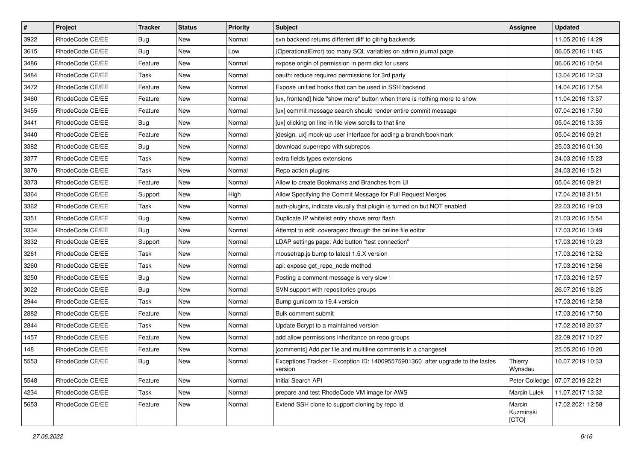| $\vert$ # | Project         | Tracker    | <b>Status</b> | <b>Priority</b> | <b>Subject</b>                                                                            | <b>Assignee</b>              | <b>Updated</b>   |
|-----------|-----------------|------------|---------------|-----------------|-------------------------------------------------------------------------------------------|------------------------------|------------------|
| 3922      | RhodeCode CE/EE | <b>Bug</b> | New           | Normal          | syn backend returns different diff to git/hg backends                                     |                              | 11.05.2016 14:29 |
| 3615      | RhodeCode CE/EE | Bug        | New           | Low             | (OperationalError) too many SQL variables on admin journal page                           |                              | 06.05.2016 11:45 |
| 3486      | RhodeCode CE/EE | Feature    | New           | Normal          | expose origin of permission in perm dict for users                                        |                              | 06.06.2016 10:54 |
| 3484      | RhodeCode CE/EE | Task       | New           | Normal          | oauth: reduce required permissions for 3rd party                                          |                              | 13.04.2016 12:33 |
| 3472      | RhodeCode CE/EE | Feature    | New           | Normal          | Expose unified hooks that can be used in SSH backend                                      |                              | 14.04.2016 17:54 |
| 3460      | RhodeCode CE/EE | Feature    | New           | Normal          | [ux, frontend] hide "show more" button when there is nothing more to show                 |                              | 11.04.2016 13:37 |
| 3455      | RhodeCode CE/EE | Feature    | New           | Normal          | [ux] commit message search should render entire commit message                            |                              | 07.04.2016 17:50 |
| 3441      | RhodeCode CE/EE | Bug        | New           | Normal          | [ux] clicking on line in file view scrolls to that line                                   |                              | 05.04.2016 13:35 |
| 3440      | RhodeCode CE/EE | Feature    | New           | Normal          | [design, ux] mock-up user interface for adding a branch/bookmark                          |                              | 05.04.2016 09:21 |
| 3382      | RhodeCode CE/EE | <b>Bug</b> | New           | Normal          | download superrepo with subrepos                                                          |                              | 25.03.2016 01:30 |
| 3377      | RhodeCode CE/EE | Task       | New           | Normal          | extra fields types extensions                                                             |                              | 24.03.2016 15:23 |
| 3376      | RhodeCode CE/EE | Task       | New           | Normal          | Repo action plugins                                                                       |                              | 24.03.2016 15:21 |
| 3373      | RhodeCode CE/EE | Feature    | New           | Normal          | Allow to create Bookmarks and Branches from UI                                            |                              | 05.04.2016 09:21 |
| 3364      | RhodeCode CE/EE | Support    | New           | High            | Allow Specifying the Commit Message for Pull Request Merges                               |                              | 17.04.2018 21:51 |
| 3362      | RhodeCode CE/EE | Task       | New           | Normal          | auth-plugins, indicate visually that plugin is turned on but NOT enabled                  |                              | 22.03.2016 19:03 |
| 3351      | RhodeCode CE/EE | Bug        | New           | Normal          | Duplicate IP whitelist entry shows error flash                                            |                              | 21.03.2016 15:54 |
| 3334      | RhodeCode CE/EE | <b>Bug</b> | New           | Normal          | Attempt to edit .coveragerc through the online file editor                                |                              | 17.03.2016 13:49 |
| 3332      | RhodeCode CE/EE | Support    | New           | Normal          | LDAP settings page: Add button "test connection"                                          |                              | 17.03.2016 10:23 |
| 3261      | RhodeCode CE/EE | Task       | New           | Normal          | mousetrap.js bump to latest 1.5.X version                                                 |                              | 17.03.2016 12:52 |
| 3260      | RhodeCode CE/EE | Task       | New           | Normal          | api: expose get_repo_node method                                                          |                              | 17.03.2016 12:56 |
| 3250      | RhodeCode CE/EE | <b>Bug</b> | New           | Normal          | Posting a comment message is very slow !                                                  |                              | 17.03.2016 12:57 |
| 3022      | RhodeCode CE/EE | <b>Bug</b> | New           | Normal          | SVN support with repositories groups                                                      |                              | 26.07.2016 18:25 |
| 2944      | RhodeCode CE/EE | Task       | New           | Normal          | Bump gunicorn to 19.4 version                                                             |                              | 17.03.2016 12:58 |
| 2882      | RhodeCode CE/EE | Feature    | New           | Normal          | Bulk comment submit                                                                       |                              | 17.03.2016 17:50 |
| 2844      | RhodeCode CE/EE | Task       | New           | Normal          | Update Bcrypt to a maintained version                                                     |                              | 17.02.2018 20:37 |
| 1457      | RhodeCode CE/EE | Feature    | New           | Normal          | add allow permissions inheritance on repo groups                                          |                              | 22.09.2017 10:27 |
| 148       | RhodeCode CE/EE | Feature    | New           | Normal          | [comments] Add per file and multiline comments in a changeset                             |                              | 25.05.2016 10:20 |
| 5553      | RhodeCode CE/EE | Bug        | New           | Normal          | Exceptions Tracker - Exception ID: 140095575901360 after upgrade to the lastes<br>version | Thierry<br>Wynsdau           | 10.07.2019 10:33 |
| 5548      | RhodeCode CE/EE | Feature    | New           | Normal          | Initial Search API                                                                        | Peter Colledge               | 07.07.2019 22:21 |
| 4234      | RhodeCode CE/EE | Task       | New           | Normal          | prepare and test RhodeCode VM image for AWS                                               | Marcin Lulek                 | 11.07.2017 13:32 |
| 5653      | RhodeCode CE/EE | Feature    | New           | Normal          | Extend SSH clone to support cloning by repo id.                                           | Marcin<br>Kuzminski<br>[CTO] | 17.02.2021 12:58 |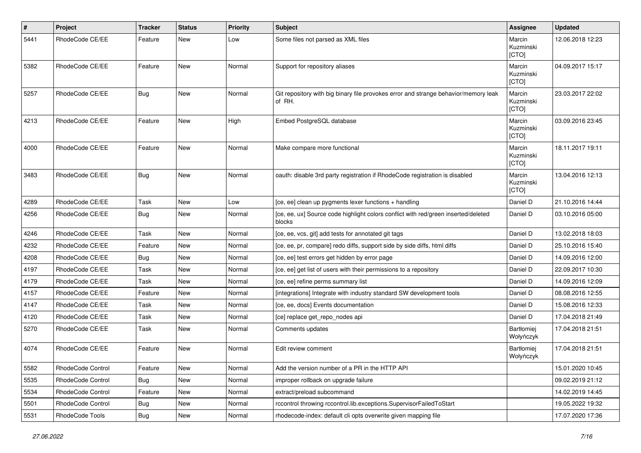| #    | Project           | <b>Tracker</b> | <b>Status</b> | <b>Priority</b> | <b>Subject</b>                                                                                | Assignee                     | <b>Updated</b>   |
|------|-------------------|----------------|---------------|-----------------|-----------------------------------------------------------------------------------------------|------------------------------|------------------|
| 5441 | RhodeCode CE/EE   | Feature        | New           | Low             | Some files not parsed as XML files                                                            | Marcin<br>Kuzminski<br>[CTO] | 12.06.2018 12:23 |
| 5382 | RhodeCode CE/EE   | Feature        | <b>New</b>    | Normal          | Support for repository aliases                                                                | Marcin<br>Kuzminski<br>[CTO] | 04.09.2017 15:17 |
| 5257 | RhodeCode CE/EE   | Bug            | <b>New</b>    | Normal          | Git repository with big binary file provokes error and strange behavior/memory leak<br>of RH. | Marcin<br>Kuzminski<br>[CTO] | 23.03.2017 22:02 |
| 4213 | RhodeCode CE/EE   | Feature        | <b>New</b>    | High            | Embed PostgreSQL database                                                                     | Marcin<br>Kuzminski<br>[CTO] | 03.09.2016 23:45 |
| 4000 | RhodeCode CE/EE   | Feature        | <b>New</b>    | Normal          | Make compare more functional                                                                  | Marcin<br>Kuzminski<br>[CTO] | 18.11.2017 19:11 |
| 3483 | RhodeCode CE/EE   | Bug            | <b>New</b>    | Normal          | oauth: disable 3rd party registration if RhodeCode registration is disabled                   | Marcin<br>Kuzminski<br>[CTO] | 13.04.2016 12:13 |
| 4289 | RhodeCode CE/EE   | Task           | <b>New</b>    | Low             | [ce, ee] clean up pygments lexer functions + handling                                         | Daniel D                     | 21.10.2016 14:44 |
| 4256 | RhodeCode CE/EE   | <b>Bug</b>     | New           | Normal          | [ce, ee, ux] Source code highlight colors conflict with red/green inserted/deleted<br>blocks  | Daniel D                     | 03.10.2016 05:00 |
| 4246 | RhodeCode CE/EE   | Task           | <b>New</b>    | Normal          | [ce, ee, vcs, git] add tests for annotated git tags                                           | Daniel D                     | 13.02.2018 18:03 |
| 4232 | RhodeCode CE/EE   | Feature        | New           | Normal          | [ce, ee, pr, compare] redo diffs, support side by side diffs, html diffs                      | Daniel D                     | 25.10.2016 15:40 |
| 4208 | RhodeCode CE/EE   | Bug            | <b>New</b>    | Normal          | [ce, ee] test errors get hidden by error page                                                 | Daniel D                     | 14.09.2016 12:00 |
| 4197 | RhodeCode CE/EE   | Task           | New           | Normal          | [ce, ee] get list of users with their permissions to a repository                             | Daniel D                     | 22.09.2017 10:30 |
| 4179 | RhodeCode CE/EE   | Task           | New           | Normal          | [ce, ee] refine perms summary list                                                            | Daniel D                     | 14.09.2016 12:09 |
| 4157 | RhodeCode CE/EE   | Feature        | <b>New</b>    | Normal          | [integrations] Integrate with industry standard SW development tools                          | Daniel D                     | 08.08.2016 12:55 |
| 4147 | RhodeCode CE/EE   | Task           | New           | Normal          | [ce, ee, docs] Events documentation                                                           | Daniel D                     | 15.08.2016 12:33 |
| 4120 | RhodeCode CE/EE   | Task           | <b>New</b>    | Normal          | [ce] replace get_repo_nodes api                                                               | Daniel D                     | 17.04.2018 21:49 |
| 5270 | RhodeCode CE/EE   | Task           | New           | Normal          | Comments updates                                                                              | Bartłomiej<br>Wołyńczyk      | 17.04.2018 21:51 |
| 4074 | RhodeCode CE/EE   | Feature        | <b>New</b>    | Normal          | Edit review comment                                                                           | Bartłomiej<br>Wołyńczyk      | 17.04.2018 21:51 |
| 5582 | RhodeCode Control | Feature        | New           | Normal          | Add the version number of a PR in the HTTP API                                                |                              | 15.01.2020 10:45 |
| 5535 | RhodeCode Control | <b>Bug</b>     | <b>New</b>    | Normal          | improper rollback on upgrade failure                                                          |                              | 09.02.2019 21:12 |
| 5534 | RhodeCode Control | Feature        | New           | Normal          | extract/preload subcommand                                                                    |                              | 14.02.2019 14:45 |
| 5501 | RhodeCode Control | Bug            | New           | Normal          | rccontrol throwing rccontrol.lib.exceptions.SupervisorFailedToStart                           |                              | 19.05.2022 19:32 |
| 5531 | RhodeCode Tools   | Bug            | New           | Normal          | rhodecode-index: default cli opts overwrite given mapping file                                |                              | 17.07.2020 17:36 |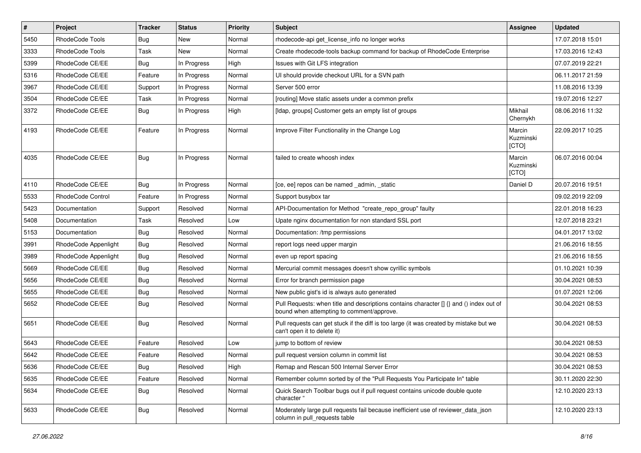| $\sharp$ | Project              | <b>Tracker</b> | <b>Status</b> | Priority | <b>Subject</b>                                                                                                                       | <b>Assignee</b>              | <b>Updated</b>   |
|----------|----------------------|----------------|---------------|----------|--------------------------------------------------------------------------------------------------------------------------------------|------------------------------|------------------|
| 5450     | RhodeCode Tools      | Bug            | New           | Normal   | rhodecode-api get license info no longer works                                                                                       |                              | 17.07.2018 15:01 |
| 3333     | RhodeCode Tools      | Task           | New           | Normal   | Create rhodecode-tools backup command for backup of RhodeCode Enterprise                                                             |                              | 17.03.2016 12:43 |
| 5399     | RhodeCode CE/EE      | Bug            | In Progress   | High     | Issues with Git LFS integration                                                                                                      |                              | 07.07.2019 22:21 |
| 5316     | RhodeCode CE/EE      | Feature        | In Progress   | Normal   | UI should provide checkout URL for a SVN path                                                                                        |                              | 06.11.2017 21:59 |
| 3967     | RhodeCode CE/EE      | Support        | In Progress   | Normal   | Server 500 error                                                                                                                     |                              | 11.08.2016 13:39 |
| 3504     | RhodeCode CE/EE      | Task           | In Progress   | Normal   | [routing] Move static assets under a common prefix                                                                                   |                              | 19.07.2016 12:27 |
| 3372     | RhodeCode CE/EE      | Bug            | In Progress   | High     | [Idap, groups] Customer gets an empty list of groups                                                                                 | Mikhail<br>Chernykh          | 08.06.2016 11:32 |
| 4193     | RhodeCode CE/EE      | Feature        | In Progress   | Normal   | Improve Filter Functionality in the Change Log                                                                                       | Marcin<br>Kuzminski<br>[CTO] | 22.09.2017 10:25 |
| 4035     | RhodeCode CE/EE      | Bug            | In Progress   | Normal   | failed to create whoosh index                                                                                                        | Marcin<br>Kuzminski<br>[CTO] | 06.07.2016 00:04 |
| 4110     | RhodeCode CE/EE      | <b>Bug</b>     | In Progress   | Normal   | [ce, ee] repos can be named _admin, _static                                                                                          | Daniel D                     | 20.07.2016 19:51 |
| 5533     | RhodeCode Control    | Feature        | In Progress   | Normal   | Support busybox tar                                                                                                                  |                              | 09.02.2019 22:09 |
| 5423     | Documentation        | Support        | Resolved      | Normal   | API-Documentation for Method "create_repo_group" faulty                                                                              |                              | 22.01.2018 16:23 |
| 5408     | Documentation        | Task           | Resolved      | Low      | Upate nginx documentation for non standard SSL port                                                                                  |                              | 12.07.2018 23:21 |
| 5153     | Documentation        | Bug            | Resolved      | Normal   | Documentation: /tmp permissions                                                                                                      |                              | 04.01.2017 13:02 |
| 3991     | RhodeCode Appenlight | Bug            | Resolved      | Normal   | report logs need upper margin                                                                                                        |                              | 21.06.2016 18:55 |
| 3989     | RhodeCode Appenlight | <b>Bug</b>     | Resolved      | Normal   | even up report spacing                                                                                                               |                              | 21.06.2016 18:55 |
| 5669     | RhodeCode CE/EE      | Bug            | Resolved      | Normal   | Mercurial commit messages doesn't show cyrillic symbols                                                                              |                              | 01.10.2021 10:39 |
| 5656     | RhodeCode CE/EE      | <b>Bug</b>     | Resolved      | Normal   | Error for branch permission page                                                                                                     |                              | 30.04.2021 08:53 |
| 5655     | RhodeCode CE/EE      | Bug            | Resolved      | Normal   | New public gist's id is always auto generated                                                                                        |                              | 01.07.2021 12:06 |
| 5652     | RhodeCode CE/EE      | Bug            | Resolved      | Normal   | Pull Requests: when title and descriptions contains character [] {} and () index out of<br>bound when attempting to comment/approve. |                              | 30.04.2021 08:53 |
| 5651     | RhodeCode CE/EE      | Bug            | Resolved      | Normal   | Pull requests can get stuck if the diff is too large (it was created by mistake but we<br>can't open it to delete it)                |                              | 30.04.2021 08:53 |
| 5643     | RhodeCode CE/EE      | Feature        | Resolved      | Low      | jump to bottom of review                                                                                                             |                              | 30.04.2021 08:53 |
| 5642     | RhodeCode CE/EE      | Feature        | Resolved      | Normal   | pull request version column in commit list                                                                                           |                              | 30.04.2021 08:53 |
| 5636     | RhodeCode CE/EE      | <b>Bug</b>     | Resolved      | High     | Remap and Rescan 500 Internal Server Error                                                                                           |                              | 30.04.2021 08:53 |
| 5635     | RhodeCode CE/EE      | Feature        | Resolved      | Normal   | Remember column sorted by of the "Pull Requests You Participate In" table                                                            |                              | 30.11.2020 22:30 |
| 5634     | RhodeCode CE/EE      | <b>Bug</b>     | Resolved      | Normal   | Quick Search Toolbar bugs out if pull request contains unicode double quote<br>character "                                           |                              | 12.10.2020 23:13 |
| 5633     | RhodeCode CE/EE      | <b>Bug</b>     | Resolved      | Normal   | Moderately large pull requests fail because inefficient use of reviewer_data_json<br>column in pull_requests table                   |                              | 12.10.2020 23:13 |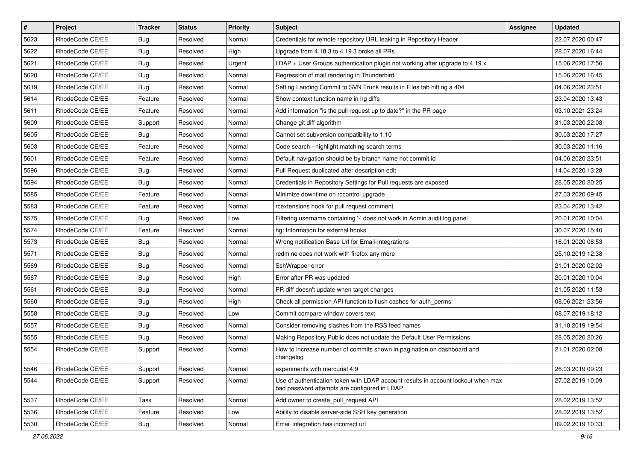| $\vert$ # | Project         | <b>Tracker</b> | <b>Status</b> | <b>Priority</b> | Subject                                                                                                                           | <b>Assignee</b> | <b>Updated</b>   |
|-----------|-----------------|----------------|---------------|-----------------|-----------------------------------------------------------------------------------------------------------------------------------|-----------------|------------------|
| 5623      | RhodeCode CE/EE | <b>Bug</b>     | Resolved      | Normal          | Credentials for remote repository URL leaking in Repository Header                                                                |                 | 22.07.2020 00:47 |
| 5622      | RhodeCode CE/EE | Bug            | Resolved      | High            | Upgrade from 4.18.3 to 4.19.3 broke all PRs                                                                                       |                 | 28.07.2020 16:44 |
| 5621      | RhodeCode CE/EE | <b>Bug</b>     | Resolved      | Urgent          | LDAP + User Groups authentication plugin not working after upgrade to 4.19.x                                                      |                 | 15.06.2020 17:56 |
| 5620      | RhodeCode CE/EE | <b>Bug</b>     | Resolved      | Normal          | Regression of mail rendering in Thunderbird                                                                                       |                 | 15.06.2020 16:45 |
| 5619      | RhodeCode CE/EE | <b>Bug</b>     | Resolved      | Normal          | Setting Landing Commit to SVN Trunk results in Files tab hitting a 404                                                            |                 | 04.06.2020 23:51 |
| 5614      | RhodeCode CE/EE | Feature        | Resolved      | Normal          | Show context function name in hg diffs                                                                                            |                 | 23.04.2020 13:43 |
| 5611      | RhodeCode CE/EE | Feature        | Resolved      | Normal          | Add information "is the pull request up to date?" in the PR page                                                                  |                 | 03.10.2021 23:24 |
| 5609      | RhodeCode CE/EE | Support        | Resolved      | Normal          | Change git diff algorithm                                                                                                         |                 | 31.03.2020 22:08 |
| 5605      | RhodeCode CE/EE | Bug            | Resolved      | Normal          | Cannot set subversion compatibility to 1.10                                                                                       |                 | 30.03.2020 17:27 |
| 5603      | RhodeCode CE/EE | Feature        | Resolved      | Normal          | Code search - highlight matching search terms                                                                                     |                 | 30.03.2020 11:16 |
| 5601      | RhodeCode CE/EE | Feature        | Resolved      | Normal          | Default navigation should be by branch name not commit id                                                                         |                 | 04.06.2020 23:51 |
| 5596      | RhodeCode CE/EE | <b>Bug</b>     | Resolved      | Normal          | Pull Request duplicated after description edit                                                                                    |                 | 14.04.2020 13:28 |
| 5594      | RhodeCode CE/EE | <b>Bug</b>     | Resolved      | Normal          | Credentials in Repository Settings for Pull requests are exposed                                                                  |                 | 28.05.2020 20:25 |
| 5585      | RhodeCode CE/EE | Feature        | Resolved      | Normal          | Minimize downtime on rccontrol upgrade                                                                                            |                 | 27.03.2020 09:45 |
| 5583      | RhodeCode CE/EE | Feature        | Resolved      | Normal          | rcextensions hook for pull request comment                                                                                        |                 | 23.04.2020 13:42 |
| 5575      | RhodeCode CE/EE | Bug            | Resolved      | Low             | Filtering username containing '-' does not work in Admin audit log panel                                                          |                 | 20.01.2020 10:04 |
| 5574      | RhodeCode CE/EE | Feature        | Resolved      | Normal          | hg: Information for external hooks                                                                                                |                 | 30.07.2020 15:40 |
| 5573      | RhodeCode CE/EE | <b>Bug</b>     | Resolved      | Normal          | Wrong notification Base Url for Email-Integrations                                                                                |                 | 16.01.2020 08:53 |
| 5571      | RhodeCode CE/EE | <b>Bug</b>     | Resolved      | Normal          | redmine does not work with firefox any more                                                                                       |                 | 25.10.2019 12:38 |
| 5569      | RhodeCode CE/EE | <b>Bug</b>     | Resolved      | Normal          | SshWrapper error                                                                                                                  |                 | 21.01.2020 02:02 |
| 5567      | RhodeCode CE/EE | <b>Bug</b>     | Resolved      | High            | Error after PR was updated                                                                                                        |                 | 20.01.2020 10:04 |
| 5561      | RhodeCode CE/EE | <b>Bug</b>     | Resolved      | Normal          | PR diff doesn't update when target changes                                                                                        |                 | 21.05.2020 11:53 |
| 5560      | RhodeCode CE/EE | Bug            | Resolved      | High            | Check all permission API function to flush caches for auth_perms                                                                  |                 | 08.06.2021 23:56 |
| 5558      | RhodeCode CE/EE | <b>Bug</b>     | Resolved      | Low             | Commit compare window covers text                                                                                                 |                 | 08.07.2019 18:12 |
| 5557      | RhodeCode CE/EE | <b>Bug</b>     | Resolved      | Normal          | Consider removing slashes from the RSS feed names                                                                                 |                 | 31.10.2019 19:54 |
| 5555      | RhodeCode CE/EE | <b>Bug</b>     | Resolved      | Normal          | Making Repository Public does not update the Default User Permissions                                                             |                 | 28.05.2020 20:26 |
| 5554      | RhodeCode CE/EE | Support        | Resolved      | Normal          | How to increase number of commits shown in pagination on dashboard and<br>changelog                                               |                 | 21.01.2020 02:08 |
| 5546      | RhodeCode CE/EE | Support        | Resolved      | Normal          | experiments with mercurial 4.9                                                                                                    |                 | 26.03.2019 09:23 |
| 5544      | RhodeCode CE/EE | Support        | Resolved      | Normal          | Use of authentication token with LDAP account results in account lockout when max<br>bad password attempts are configured in LDAP |                 | 27.02.2019 10:09 |
| 5537      | RhodeCode CE/EE | Task           | Resolved      | Normal          | Add owner to create_pull_request API                                                                                              |                 | 28.02.2019 13:52 |
| 5536      | RhodeCode CE/EE | Feature        | Resolved      | Low             | Ability to disable server-side SSH key generation                                                                                 |                 | 28.02.2019 13:52 |
| 5530      | RhodeCode CE/EE | Bug            | Resolved      | Normal          | Email integration has incorrect url                                                                                               |                 | 09.02.2019 10:33 |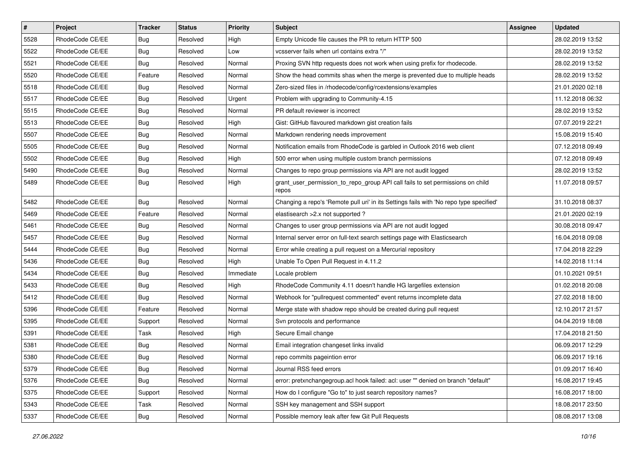| $\vert$ # | Project         | <b>Tracker</b> | <b>Status</b> | <b>Priority</b> | <b>Subject</b>                                                                          | <b>Assignee</b> | <b>Updated</b>   |
|-----------|-----------------|----------------|---------------|-----------------|-----------------------------------------------------------------------------------------|-----------------|------------------|
| 5528      | RhodeCode CE/EE | <b>Bug</b>     | Resolved      | High            | Empty Unicode file causes the PR to return HTTP 500                                     |                 | 28.02.2019 13:52 |
| 5522      | RhodeCode CE/EE | Bug            | Resolved      | Low             | vcsserver fails when url contains extra "/"                                             |                 | 28.02.2019 13:52 |
| 5521      | RhodeCode CE/EE | Bug            | Resolved      | Normal          | Proxing SVN http requests does not work when using prefix for rhodecode.                |                 | 28.02.2019 13:52 |
| 5520      | RhodeCode CE/EE | Feature        | Resolved      | Normal          | Show the head commits shas when the merge is prevented due to multiple heads            |                 | 28.02.2019 13:52 |
| 5518      | RhodeCode CE/EE | <b>Bug</b>     | Resolved      | Normal          | Zero-sized files in /rhodecode/config/rcextensions/examples                             |                 | 21.01.2020 02:18 |
| 5517      | RhodeCode CE/EE | <b>Bug</b>     | Resolved      | Urgent          | Problem with upgrading to Community-4.15                                                |                 | 11.12.2018 06:32 |
| 5515      | RhodeCode CE/EE | Bug            | Resolved      | Normal          | PR default reviewer is incorrect                                                        |                 | 28.02.2019 13:52 |
| 5513      | RhodeCode CE/EE | Bug            | Resolved      | High            | Gist: GitHub flavoured markdown gist creation fails                                     |                 | 07.07.2019 22:21 |
| 5507      | RhodeCode CE/EE | <b>Bug</b>     | Resolved      | Normal          | Markdown rendering needs improvement                                                    |                 | 15.08.2019 15:40 |
| 5505      | RhodeCode CE/EE | Bug            | Resolved      | Normal          | Notification emails from RhodeCode is garbled in Outlook 2016 web client                |                 | 07.12.2018 09:49 |
| 5502      | RhodeCode CE/EE | <b>Bug</b>     | Resolved      | High            | 500 error when using multiple custom branch permissions                                 |                 | 07.12.2018 09:49 |
| 5490      | RhodeCode CE/EE | <b>Bug</b>     | Resolved      | Normal          | Changes to repo group permissions via API are not audit logged                          |                 | 28.02.2019 13:52 |
| 5489      | RhodeCode CE/EE | Bug            | Resolved      | High            | grant_user_permission_to_repo_group API call fails to set permissions on child<br>repos |                 | 11.07.2018 09:57 |
| 5482      | RhodeCode CE/EE | Bug            | Resolved      | Normal          | Changing a repo's 'Remote pull uri' in its Settings fails with 'No repo type specified' |                 | 31.10.2018 08:37 |
| 5469      | RhodeCode CE/EE | Feature        | Resolved      | Normal          | elastisearch > 2.x not supported?                                                       |                 | 21.01.2020 02:19 |
| 5461      | RhodeCode CE/EE | Bug            | Resolved      | Normal          | Changes to user group permissions via API are not audit logged                          |                 | 30.08.2018 09:47 |
| 5457      | RhodeCode CE/EE | Bug            | Resolved      | Normal          | Internal server error on full-text search settings page with Elasticsearch              |                 | 16.04.2018 09:08 |
| 5444      | RhodeCode CE/EE | <b>Bug</b>     | Resolved      | Normal          | Error while creating a pull request on a Mercurial repository                           |                 | 17.04.2018 22:29 |
| 5436      | RhodeCode CE/EE | Bug            | Resolved      | High            | Unable To Open Pull Request in 4.11.2                                                   |                 | 14.02.2018 11:14 |
| 5434      | RhodeCode CE/EE | Bug            | Resolved      | Immediate       | Locale problem                                                                          |                 | 01.10.2021 09:51 |
| 5433      | RhodeCode CE/EE | Bug            | Resolved      | High            | RhodeCode Community 4.11 doesn't handle HG largefiles extension                         |                 | 01.02.2018 20:08 |
| 5412      | RhodeCode CE/EE | Bug            | Resolved      | Normal          | Webhook for "pullrequest commented" event returns incomplete data                       |                 | 27.02.2018 18:00 |
| 5396      | RhodeCode CE/EE | Feature        | Resolved      | Normal          | Merge state with shadow repo should be created during pull request                      |                 | 12.10.2017 21:57 |
| 5395      | RhodeCode CE/EE | Support        | Resolved      | Normal          | Svn protocols and performance                                                           |                 | 04.04.2019 18:08 |
| 5391      | RhodeCode CE/EE | Task           | Resolved      | High            | Secure Email change                                                                     |                 | 17.04.2018 21:50 |
| 5381      | RhodeCode CE/EE | <b>Bug</b>     | Resolved      | Normal          | Email integration changeset links invalid                                               |                 | 06.09.2017 12:29 |
| 5380      | RhodeCode CE/EE | <b>Bug</b>     | Resolved      | Normal          | repo commits pageintion error                                                           |                 | 06.09.2017 19:16 |
| 5379      | RhodeCode CE/EE | Bug            | Resolved      | Normal          | Journal RSS feed errors                                                                 |                 | 01.09.2017 16:40 |
| 5376      | RhodeCode CE/EE | Bug            | Resolved      | Normal          | error: pretxnchangegroup.acl hook failed: acl: user "" denied on branch "default"       |                 | 16.08.2017 19:45 |
| 5375      | RhodeCode CE/EE | Support        | Resolved      | Normal          | How do I configure "Go to" to just search repository names?                             |                 | 16.08.2017 18:00 |
| 5343      | RhodeCode CE/EE | Task           | Resolved      | Normal          | SSH key management and SSH support                                                      |                 | 18.08.2017 23:50 |
| 5337      | RhodeCode CE/EE | <b>Bug</b>     | Resolved      | Normal          | Possible memory leak after few Git Pull Requests                                        |                 | 08.08.2017 13:08 |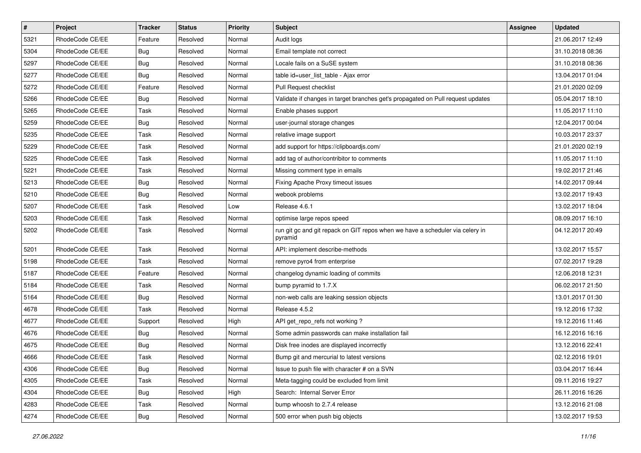| $\pmb{\#}$ | Project         | <b>Tracker</b> | <b>Status</b> | <b>Priority</b> | <b>Subject</b>                                                                           | Assignee | <b>Updated</b>   |
|------------|-----------------|----------------|---------------|-----------------|------------------------------------------------------------------------------------------|----------|------------------|
| 5321       | RhodeCode CE/EE | Feature        | Resolved      | Normal          | Audit logs                                                                               |          | 21.06.2017 12:49 |
| 5304       | RhodeCode CE/EE | Bug            | Resolved      | Normal          | Email template not correct                                                               |          | 31.10.2018 08:36 |
| 5297       | RhodeCode CE/EE | Bug            | Resolved      | Normal          | Locale fails on a SuSE system                                                            |          | 31.10.2018 08:36 |
| 5277       | RhodeCode CE/EE | <b>Bug</b>     | Resolved      | Normal          | table id=user list table - Ajax error                                                    |          | 13.04.2017 01:04 |
| 5272       | RhodeCode CE/EE | Feature        | Resolved      | Normal          | Pull Request checklist                                                                   |          | 21.01.2020 02:09 |
| 5266       | RhodeCode CE/EE | Bug            | Resolved      | Normal          | Validate if changes in target branches get's propagated on Pull request updates          |          | 05.04.2017 18:10 |
| 5265       | RhodeCode CE/EE | Task           | Resolved      | Normal          | Enable phases support                                                                    |          | 11.05.2017 11:10 |
| 5259       | RhodeCode CE/EE | Bug            | Resolved      | Normal          | user-journal storage changes                                                             |          | 12.04.2017 00:04 |
| 5235       | RhodeCode CE/EE | Task           | Resolved      | Normal          | relative image support                                                                   |          | 10.03.2017 23:37 |
| 5229       | RhodeCode CE/EE | Task           | Resolved      | Normal          | add support for https://clipboardjs.com/                                                 |          | 21.01.2020 02:19 |
| 5225       | RhodeCode CE/EE | Task           | Resolved      | Normal          | add tag of author/contribitor to comments                                                |          | 11.05.2017 11:10 |
| 5221       | RhodeCode CE/EE | Task           | Resolved      | Normal          | Missing comment type in emails                                                           |          | 19.02.2017 21:46 |
| 5213       | RhodeCode CE/EE | <b>Bug</b>     | Resolved      | Normal          | Fixing Apache Proxy timeout issues                                                       |          | 14.02.2017 09:44 |
| 5210       | RhodeCode CE/EE | <b>Bug</b>     | Resolved      | Normal          | webook problems                                                                          |          | 13.02.2017 19:43 |
| 5207       | RhodeCode CE/EE | Task           | Resolved      | Low             | Release 4.6.1                                                                            |          | 13.02.2017 18:04 |
| 5203       | RhodeCode CE/EE | Task           | Resolved      | Normal          | optimise large repos speed                                                               |          | 08.09.2017 16:10 |
| 5202       | RhodeCode CE/EE | Task           | Resolved      | Normal          | run git gc and git repack on GIT repos when we have a scheduler via celery in<br>pyramid |          | 04.12.2017 20:49 |
| 5201       | RhodeCode CE/EE | Task           | Resolved      | Normal          | API: implement describe-methods                                                          |          | 13.02.2017 15:57 |
| 5198       | RhodeCode CE/EE | Task           | Resolved      | Normal          | remove pyro4 from enterprise                                                             |          | 07.02.2017 19:28 |
| 5187       | RhodeCode CE/EE | Feature        | Resolved      | Normal          | changelog dynamic loading of commits                                                     |          | 12.06.2018 12:31 |
| 5184       | RhodeCode CE/EE | Task           | Resolved      | Normal          | bump pyramid to 1.7.X                                                                    |          | 06.02.2017 21:50 |
| 5164       | RhodeCode CE/EE | Bug            | Resolved      | Normal          | non-web calls are leaking session objects                                                |          | 13.01.2017 01:30 |
| 4678       | RhodeCode CE/EE | Task           | Resolved      | Normal          | Release 4.5.2                                                                            |          | 19.12.2016 17:32 |
| 4677       | RhodeCode CE/EE | Support        | Resolved      | High            | API get_repo_refs not working?                                                           |          | 19.12.2016 11:46 |
| 4676       | RhodeCode CE/EE | Bug            | Resolved      | Normal          | Some admin passwords can make installation fail                                          |          | 16.12.2016 16:16 |
| 4675       | RhodeCode CE/EE | <b>Bug</b>     | Resolved      | Normal          | Disk free inodes are displayed incorrectly                                               |          | 13.12.2016 22:41 |
| 4666       | RhodeCode CE/EE | Task           | Resolved      | Normal          | Bump git and mercurial to latest versions                                                |          | 02.12.2016 19:01 |
| 4306       | RhodeCode CE/EE | <b>Bug</b>     | Resolved      | Normal          | Issue to push file with character # on a SVN                                             |          | 03.04.2017 16:44 |
| 4305       | RhodeCode CE/EE | Task           | Resolved      | Normal          | Meta-tagging could be excluded from limit                                                |          | 09.11.2016 19:27 |
| 4304       | RhodeCode CE/EE | <b>Bug</b>     | Resolved      | High            | Search: Internal Server Error                                                            |          | 26.11.2016 16:26 |
| 4283       | RhodeCode CE/EE | Task           | Resolved      | Normal          | bump whoosh to 2.7.4 release                                                             |          | 13.12.2016 21:08 |
| 4274       | RhodeCode CE/EE | Bug            | Resolved      | Normal          | 500 error when push big objects                                                          |          | 13.02.2017 19:53 |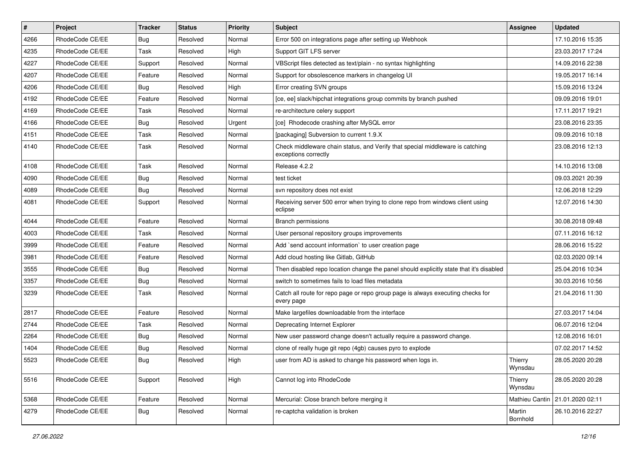| $\pmb{\#}$ | <b>Project</b>  | <b>Tracker</b> | <b>Status</b> | <b>Priority</b> | <b>Subject</b>                                                                                        | Assignee           | <b>Updated</b>                  |
|------------|-----------------|----------------|---------------|-----------------|-------------------------------------------------------------------------------------------------------|--------------------|---------------------------------|
| 4266       | RhodeCode CE/EE | Bug            | Resolved      | Normal          | Error 500 on integrations page after setting up Webhook                                               |                    | 17.10.2016 15:35                |
| 4235       | RhodeCode CE/EE | Task           | Resolved      | High            | Support GIT LFS server                                                                                |                    | 23.03.2017 17:24                |
| 4227       | RhodeCode CE/EE | Support        | Resolved      | Normal          | VBScript files detected as text/plain - no syntax highlighting                                        |                    | 14.09.2016 22:38                |
| 4207       | RhodeCode CE/EE | Feature        | Resolved      | Normal          | Support for obsolescence markers in changelog UI                                                      |                    | 19.05.2017 16:14                |
| 4206       | RhodeCode CE/EE | Bug            | Resolved      | High            | Error creating SVN groups                                                                             |                    | 15.09.2016 13:24                |
| 4192       | RhodeCode CE/EE | Feature        | Resolved      | Normal          | [ce, ee] slack/hipchat integrations group commits by branch pushed                                    |                    | 09.09.2016 19:01                |
| 4169       | RhodeCode CE/EE | Task           | Resolved      | Normal          | re-architecture celery support                                                                        |                    | 17.11.2017 19:21                |
| 4166       | RhodeCode CE/EE | Bug            | Resolved      | Urgent          | [ce] Rhodecode crashing after MySQL error                                                             |                    | 23.08.2016 23:35                |
| 4151       | RhodeCode CE/EE | Task           | Resolved      | Normal          | [packaging] Subversion to current 1.9.X                                                               |                    | 09.09.2016 10:18                |
| 4140       | RhodeCode CE/EE | Task           | Resolved      | Normal          | Check middleware chain status, and Verify that special middleware is catching<br>exceptions correctly |                    | 23.08.2016 12:13                |
| 4108       | RhodeCode CE/EE | Task           | Resolved      | Normal          | Release 4.2.2                                                                                         |                    | 14.10.2016 13:08                |
| 4090       | RhodeCode CE/EE | <b>Bug</b>     | Resolved      | Normal          | test ticket                                                                                           |                    | 09.03.2021 20:39                |
| 4089       | RhodeCode CE/EE | Bug            | Resolved      | Normal          | svn repository does not exist                                                                         |                    | 12.06.2018 12:29                |
| 4081       | RhodeCode CE/EE | Support        | Resolved      | Normal          | Receiving server 500 error when trying to clone repo from windows client using<br>eclipse             |                    | 12.07.2016 14:30                |
| 4044       | RhodeCode CE/EE | Feature        | Resolved      | Normal          | <b>Branch permissions</b>                                                                             |                    | 30.08.2018 09:48                |
| 4003       | RhodeCode CE/EE | Task           | Resolved      | Normal          | User personal repository groups improvements                                                          |                    | 07.11.2016 16:12                |
| 3999       | RhodeCode CE/EE | Feature        | Resolved      | Normal          | Add `send account information` to user creation page                                                  |                    | 28.06.2016 15:22                |
| 3981       | RhodeCode CE/EE | Feature        | Resolved      | Normal          | Add cloud hosting like Gitlab, GitHub                                                                 |                    | 02.03.2020 09:14                |
| 3555       | RhodeCode CE/EE | Bug            | Resolved      | Normal          | Then disabled repo location change the panel should explicitly state that it's disabled               |                    | 25.04.2016 10:34                |
| 3357       | RhodeCode CE/EE | Bug            | Resolved      | Normal          | switch to sometimes fails to load files metadata                                                      |                    | 30.03.2016 10:56                |
| 3239       | RhodeCode CE/EE | Task           | Resolved      | Normal          | Catch all route for repo page or repo group page is always executing checks for<br>every page         |                    | 21.04.2016 11:30                |
| 2817       | RhodeCode CE/EE | Feature        | Resolved      | Normal          | Make largefiles downloadable from the interface                                                       |                    | 27.03.2017 14:04                |
| 2744       | RhodeCode CE/EE | <b>Task</b>    | Resolved      | Normal          | Deprecating Internet Explorer                                                                         |                    | 06.07.2016 12:04                |
| 2264       | RhodeCode CE/EE | Bug            | Resolved      | Normal          | New user password change doesn't actually require a password change.                                  |                    | 12.08.2016 16:01                |
| 1404       | RhodeCode CE/EE | Bug            | Resolved      | Normal          | clone of really huge git repo (4gb) causes pyro to explode                                            |                    | 07.02.2017 14:52                |
| 5523       | RhodeCode CE/EE | Bug            | Resolved      | High            | user from AD is asked to change his password when logs in.                                            | Thierry<br>Wynsdau | 28.05.2020 20:28                |
| 5516       | RhodeCode CE/EE | Support        | Resolved      | High            | Cannot log into RhodeCode                                                                             | Thierry<br>Wynsdau | 28.05.2020 20:28                |
| 5368       | RhodeCode CE/EE | Feature        | Resolved      | Normal          | Mercurial: Close branch before merging it                                                             |                    | Mathieu Cantin 21.01.2020 02:11 |
| 4279       | RhodeCode CE/EE | Bug            | Resolved      | Normal          | re-captcha validation is broken                                                                       | Martin<br>Bornhold | 26.10.2016 22:27                |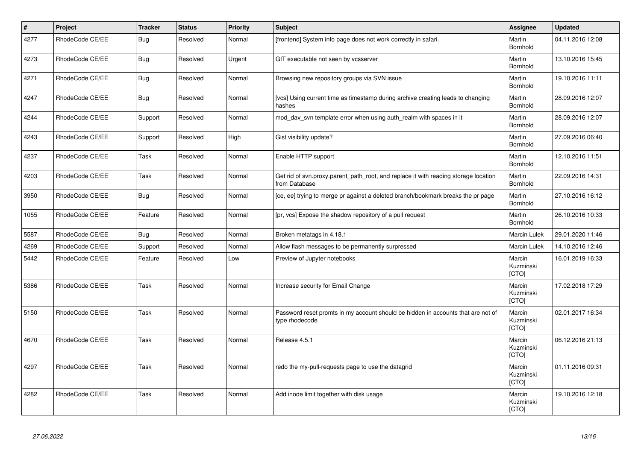| $\vert$ # | Project         | <b>Tracker</b> | <b>Status</b> | <b>Priority</b> | <b>Subject</b>                                                                                       | Assignee                     | <b>Updated</b>   |
|-----------|-----------------|----------------|---------------|-----------------|------------------------------------------------------------------------------------------------------|------------------------------|------------------|
| 4277      | RhodeCode CE/EE | Bug            | Resolved      | Normal          | [frontend] System info page does not work correctly in safari.                                       | Martin<br>Bornhold           | 04.11.2016 12:08 |
| 4273      | RhodeCode CE/EE | <b>Bug</b>     | Resolved      | Urgent          | GIT executable not seen by vcsserver                                                                 | Martin<br>Bornhold           | 13.10.2016 15:45 |
| 4271      | RhodeCode CE/EE | Bug            | Resolved      | Normal          | Browsing new repository groups via SVN issue                                                         | Martin<br>Bornhold           | 19.10.2016 11:11 |
| 4247      | RhodeCode CE/EE | Bug            | Resolved      | Normal          | [vcs] Using current time as timestamp during archive creating leads to changing<br>hashes            | Martin<br>Bornhold           | 28.09.2016 12:07 |
| 4244      | RhodeCode CE/EE | Support        | Resolved      | Normal          | mod day syn template error when using auth realm with spaces in it                                   | Martin<br>Bornhold           | 28.09.2016 12:07 |
| 4243      | RhodeCode CE/EE | Support        | Resolved      | High            | Gist visibility update?                                                                              | Martin<br>Bornhold           | 27.09.2016 06:40 |
| 4237      | RhodeCode CE/EE | Task           | Resolved      | Normal          | Enable HTTP support                                                                                  | Martin<br>Bornhold           | 12.10.2016 11:51 |
| 4203      | RhodeCode CE/EE | Task           | Resolved      | Normal          | Get rid of svn.proxy.parent_path_root, and replace it with reading storage location<br>from Database | Martin<br>Bornhold           | 22.09.2016 14:31 |
| 3950      | RhodeCode CE/EE | Bug            | Resolved      | Normal          | [ce, ee] trying to merge pr against a deleted branch/bookmark breaks the pr page                     | Martin<br>Bornhold           | 27.10.2016 16:12 |
| 1055      | RhodeCode CE/EE | Feature        | Resolved      | Normal          | [pr, vcs] Expose the shadow repository of a pull request                                             | Martin<br>Bornhold           | 26.10.2016 10:33 |
| 5587      | RhodeCode CE/EE | Bug            | Resolved      | Normal          | Broken metatags in 4.18.1                                                                            | <b>Marcin Lulek</b>          | 29.01.2020 11:46 |
| 4269      | RhodeCode CE/EE | Support        | Resolved      | Normal          | Allow flash messages to be permanently surpressed                                                    | <b>Marcin Lulek</b>          | 14.10.2016 12:46 |
| 5442      | RhodeCode CE/EE | Feature        | Resolved      | Low             | Preview of Jupyter notebooks                                                                         | Marcin<br>Kuzminski<br>[CTO] | 16.01.2019 16:33 |
| 5386      | RhodeCode CE/EE | Task           | Resolved      | Normal          | Increase security for Email Change                                                                   | Marcin<br>Kuzminski<br>[CTO] | 17.02.2018 17:29 |
| 5150      | RhodeCode CE/EE | Task           | Resolved      | Normal          | Password reset promts in my account should be hidden in accounts that are not of<br>type rhodecode   | Marcin<br>Kuzminski<br>[CTO] | 02.01.2017 16:34 |
| 4670      | RhodeCode CE/EE | Task           | Resolved      | Normal          | Release 4.5.1                                                                                        | Marcin<br>Kuzminski<br>[CTO] | 06.12.2016 21:13 |
| 4297      | RhodeCode CE/EE | Task           | Resolved      | Normal          | redo the my-pull-requests page to use the datagrid                                                   | Marcin<br>Kuzminski<br>[CTO] | 01.11.2016 09:31 |
| 4282      | RhodeCode CE/EE | Task           | Resolved      | Normal          | Add inode limit together with disk usage                                                             | Marcin<br>Kuzminski<br>[CTO] | 19.10.2016 12:18 |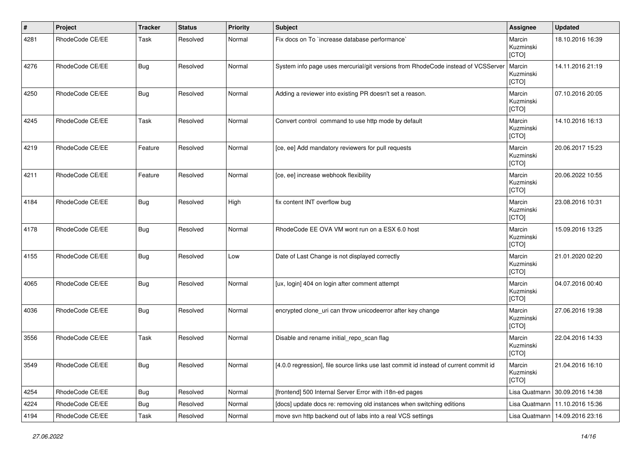| #    | Project         | <b>Tracker</b> | <b>Status</b> | <b>Priority</b> | <b>Subject</b>                                                                        | Assignee                     | <b>Updated</b>                   |
|------|-----------------|----------------|---------------|-----------------|---------------------------------------------------------------------------------------|------------------------------|----------------------------------|
| 4281 | RhodeCode CE/EE | Task           | Resolved      | Normal          | Fix docs on To `increase database performance`                                        | Marcin<br>Kuzminski<br>[CTO] | 18.10.2016 16:39                 |
| 4276 | RhodeCode CE/EE | <b>Bug</b>     | Resolved      | Normal          | System info page uses mercurial/git versions from RhodeCode instead of VCSServer      | Marcin<br>Kuzminski<br>[CTO] | 14.11.2016 21:19                 |
| 4250 | RhodeCode CE/EE | <b>Bug</b>     | Resolved      | Normal          | Adding a reviewer into existing PR doesn't set a reason.                              | Marcin<br>Kuzminski<br>[CTO] | 07.10.2016 20:05                 |
| 4245 | RhodeCode CE/EE | Task           | Resolved      | Normal          | Convert control command to use http mode by default                                   | Marcin<br>Kuzminski<br>[CTO] | 14.10.2016 16:13                 |
| 4219 | RhodeCode CE/EE | Feature        | Resolved      | Normal          | [ce, ee] Add mandatory reviewers for pull requests                                    | Marcin<br>Kuzminski<br>[CTO] | 20.06.2017 15:23                 |
| 4211 | RhodeCode CE/EE | Feature        | Resolved      | Normal          | [ce, ee] increase webhook flexibility                                                 | Marcin<br>Kuzminski<br>[CTO] | 20.06.2022 10:55                 |
| 4184 | RhodeCode CE/EE | <b>Bug</b>     | Resolved      | High            | fix content INT overflow bug                                                          | Marcin<br>Kuzminski<br>[CTO] | 23.08.2016 10:31                 |
| 4178 | RhodeCode CE/EE | <b>Bug</b>     | Resolved      | Normal          | RhodeCode EE OVA VM wont run on a ESX 6.0 host                                        | Marcin<br>Kuzminski<br>[CTO] | 15.09.2016 13:25                 |
| 4155 | RhodeCode CE/EE | <b>Bug</b>     | Resolved      | Low             | Date of Last Change is not displayed correctly                                        | Marcin<br>Kuzminski<br>[CTO] | 21.01.2020 02:20                 |
| 4065 | RhodeCode CE/EE | <b>Bug</b>     | Resolved      | Normal          | [ux, login] 404 on login after comment attempt                                        | Marcin<br>Kuzminski<br>[CTO] | 04.07.2016 00:40                 |
| 4036 | RhodeCode CE/EE | <b>Bug</b>     | Resolved      | Normal          | encrypted clone_uri can throw unicodeerror after key change                           | Marcin<br>Kuzminski<br>[CTO] | 27.06.2016 19:38                 |
| 3556 | RhodeCode CE/EE | Task           | Resolved      | Normal          | Disable and rename initial_repo_scan flag                                             | Marcin<br>Kuzminski<br>[CTO] | 22.04.2016 14:33                 |
| 3549 | RhodeCode CE/EE | <b>Bug</b>     | Resolved      | Normal          | [4.0.0 regression], file source links use last commit id instead of current commit id | Marcin<br>Kuzminski<br>[CTO] | 21.04.2016 16:10                 |
| 4254 | RhodeCode CE/EE | Bug            | Resolved      | Normal          | [frontend] 500 Internal Server Error with i18n-ed pages                               | Lisa Quatmann                | 30.09.2016 14:38                 |
| 4224 | RhodeCode CE/EE | <b>Bug</b>     | Resolved      | Normal          | [docs] update docs re: removing old instances when switching editions                 |                              | Lisa Quatmann   11.10.2016 15:36 |
| 4194 | RhodeCode CE/EE | Task           | Resolved      | Normal          | move svn http backend out of labs into a real VCS settings                            | Lisa Quatmann                | 14.09.2016 23:16                 |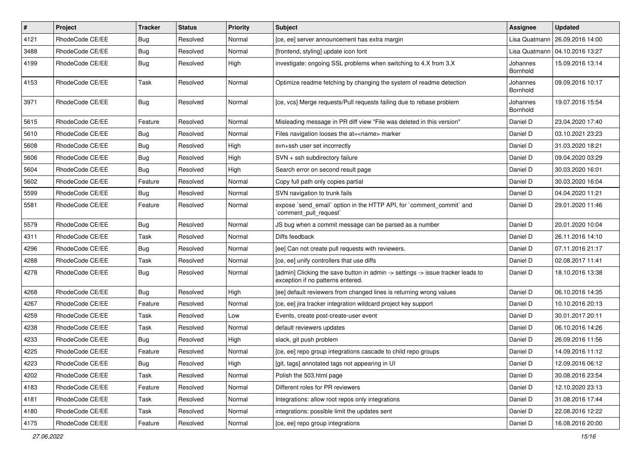| $\sharp$ | Project         | Tracker    | <b>Status</b> | <b>Priority</b> | <b>Subject</b>                                                                                                       | Assignee             | <b>Updated</b>                   |
|----------|-----------------|------------|---------------|-----------------|----------------------------------------------------------------------------------------------------------------------|----------------------|----------------------------------|
| 4121     | RhodeCode CE/EE | <b>Bug</b> | Resolved      | Normal          | [ce, ee] server announcement has extra margin                                                                        | Lisa Quatmann        | 26.09.2016 14:00                 |
| 3488     | RhodeCode CE/EE | <b>Bug</b> | Resolved      | Normal          | [frontend, styling] update icon font                                                                                 |                      | Lisa Quatmann   04.10.2016 13:27 |
| 4199     | RhodeCode CE/EE | <b>Bug</b> | Resolved      | High            | investigate: ongoing SSL problems when switching to 4.X from 3.X                                                     | Johannes<br>Bornhold | 15.09.2016 13:14                 |
| 4153     | RhodeCode CE/EE | Task       | Resolved      | Normal          | Optimize readme fetching by changing the system of readme detection                                                  | Johannes<br>Bornhold | 09.09.2016 10:17                 |
| 3971     | RhodeCode CE/EE | Bug        | Resolved      | Normal          | [ce, vcs] Merge requests/Pull requests failing due to rebase problem                                                 | Johannes<br>Bornhold | 19.07.2016 15:54                 |
| 5615     | RhodeCode CE/EE | Feature    | Resolved      | Normal          | Misleading message in PR diff view "File was deleted in this version"                                                | Daniel D             | 23.04.2020 17:40                 |
| 5610     | RhodeCode CE/EE | <b>Bug</b> | Resolved      | Normal          | Files navigation looses the at= <name> marker</name>                                                                 | Daniel D             | 03.10.2021 23:23                 |
| 5608     | RhodeCode CE/EE | <b>Bug</b> | Resolved      | High            | svn+ssh user set incorrectly                                                                                         | Daniel D             | 31.03.2020 18:21                 |
| 5606     | RhodeCode CE/EE | Bug        | Resolved      | High            | SVN + ssh subdirectory failure                                                                                       | Daniel D             | 09.04.2020 03:29                 |
| 5604     | RhodeCode CE/EE | <b>Bug</b> | Resolved      | High            | Search error on second result page                                                                                   | Daniel D             | 30.03.2020 16:01                 |
| 5602     | RhodeCode CE/EE | Feature    | Resolved      | Normal          | Copy full path only copies partial                                                                                   | Daniel D             | 30.03.2020 16:04                 |
| 5599     | RhodeCode CE/EE | Bug        | Resolved      | Normal          | SVN navigation to trunk fails                                                                                        | Daniel D             | 04.04.2020 11:21                 |
| 5581     | RhodeCode CE/EE | Feature    | Resolved      | Normal          | expose `send_email` option in the HTTP API, for `comment_commit` and<br>`comment_pull_request`                       | Daniel D             | 29.01.2020 11:46                 |
| 5579     | RhodeCode CE/EE | <b>Bug</b> | Resolved      | Normal          | JS bug when a commit message can be parsed as a number                                                               | Daniel D             | 20.01.2020 10:04                 |
| 4311     | RhodeCode CE/EE | Task       | Resolved      | Normal          | Diffs feedback                                                                                                       | Daniel D             | 26.11.2016 14:10                 |
| 4296     | RhodeCode CE/EE | <b>Bug</b> | Resolved      | Normal          | [ee] Can not create pull requests with reviewers.                                                                    | Daniel D             | 07.11.2016 21:17                 |
| 4288     | RhodeCode CE/EE | Task       | Resolved      | Normal          | [ce, ee] unify controllers that use diffs                                                                            | Daniel D             | 02.08.2017 11:41                 |
| 4278     | RhodeCode CE/EE | <b>Bug</b> | Resolved      | Normal          | [admin] Clicking the save button in admin -> settings -> issue tracker leads to<br>exception if no patterns entered. | Daniel D             | 18.10.2016 13:38                 |
| 4268     | RhodeCode CE/EE | <b>Bug</b> | Resolved      | High            | [ee] default reviewers from changed lines is returning wrong values                                                  | Daniel D             | 06.10.2016 14:35                 |
| 4267     | RhodeCode CE/EE | Feature    | Resolved      | Normal          | [ce, ee] jira tracker integration wildcard project key support                                                       | Daniel D             | 10.10.2016 20:13                 |
| 4259     | RhodeCode CE/EE | Task       | Resolved      | Low             | Events, create post-create-user event                                                                                | Daniel D             | 30.01.2017 20:11                 |
| 4238     | RhodeCode CE/EE | Task       | Resolved      | Normal          | default reviewers updates                                                                                            | Daniel D             | 06.10.2016 14:26                 |
| 4233     | RhodeCode CE/EE | Bug        | Resolved      | High            | slack, git push problem                                                                                              | Daniel D             | 26.09.2016 11:56                 |
| 4225     | RhodeCode CE/EE | Feature    | Resolved      | Normal          | [ce, ee] repo group integrations cascade to child repo groups                                                        | Daniel D             | 14.09.2016 11:12                 |
| 4223     | RhodeCode CE/EE | <b>Bug</b> | Resolved      | High            | [git, tags] annotated tags not appearing in UI                                                                       | Daniel D             | 12.09.2016 06:12                 |
| 4202     | RhodeCode CE/EE | Task       | Resolved      | Normal          | Polish the 503.html page                                                                                             | Daniel D             | 30.08.2016 23:54                 |
| 4183     | RhodeCode CE/EE | Feature    | Resolved      | Normal          | Different roles for PR reviewers                                                                                     | Daniel D             | 12.10.2020 23:13                 |
| 4181     | RhodeCode CE/EE | Task       | Resolved      | Normal          | Integrations: allow root repos only integrations                                                                     | Daniel D             | 31.08.2016 17:44                 |
| 4180     | RhodeCode CE/EE | Task       | Resolved      | Normal          | integrations: possible limit the updates sent                                                                        | Daniel D             | 22.08.2016 12:22                 |
| 4175     | RhodeCode CE/EE | Feature    | Resolved      | Normal          | [ce, ee] repo group integrations                                                                                     | Daniel D             | 16.08.2016 20:00                 |